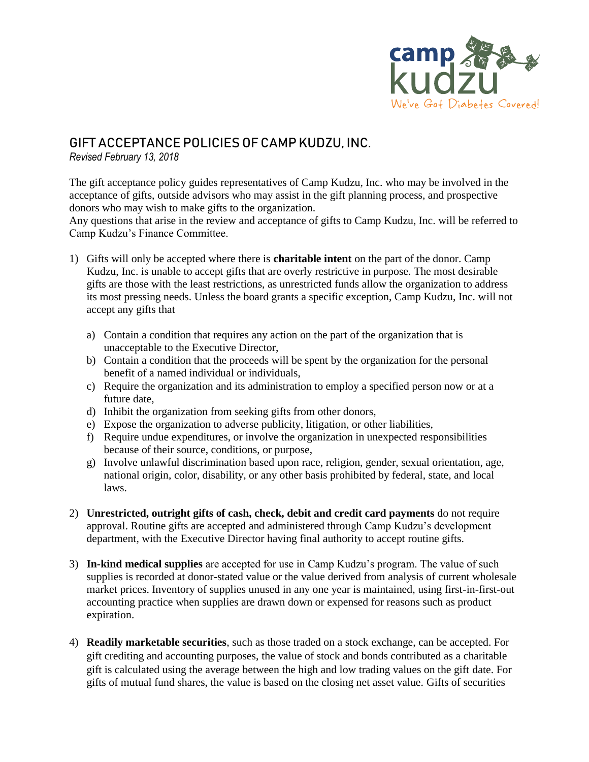

## GIFT ACCEPTANCE POLICIES OF CAMP KUDZU, INC.

*Revised February 13, 2018*

The gift acceptance policy guides representatives of Camp Kudzu, Inc. who may be involved in the acceptance of gifts, outside advisors who may assist in the gift planning process, and prospective donors who may wish to make gifts to the organization.

Any questions that arise in the review and acceptance of gifts to Camp Kudzu, Inc. will be referred to Camp Kudzu's Finance Committee.

- 1) Gifts will only be accepted where there is **charitable intent** on the part of the donor. Camp Kudzu, Inc. is unable to accept gifts that are overly restrictive in purpose. The most desirable gifts are those with the least restrictions, as unrestricted funds allow the organization to address its most pressing needs. Unless the board grants a specific exception, Camp Kudzu, Inc. will not accept any gifts that
	- a) Contain a condition that requires any action on the part of the organization that is unacceptable to the Executive Director,
	- b) Contain a condition that the proceeds will be spent by the organization for the personal benefit of a named individual or individuals,
	- c) Require the organization and its administration to employ a specified person now or at a future date,
	- d) Inhibit the organization from seeking gifts from other donors,
	- e) Expose the organization to adverse publicity, litigation, or other liabilities,
	- f) Require undue expenditures, or involve the organization in unexpected responsibilities because of their source, conditions, or purpose,
	- g) Involve unlawful discrimination based upon race, religion, gender, sexual orientation, age, national origin, color, disability, or any other basis prohibited by federal, state, and local laws.
- 2) **Unrestricted, outright gifts of cash, check, debit and credit card payments** do not require approval. Routine gifts are accepted and administered through Camp Kudzu's development department, with the Executive Director having final authority to accept routine gifts.
- 3) **In-kind medical supplies** are accepted for use in Camp Kudzu's program. The value of such supplies is recorded at donor-stated value or the value derived from analysis of current wholesale market prices. Inventory of supplies unused in any one year is maintained, using first-in-first-out accounting practice when supplies are drawn down or expensed for reasons such as product expiration.
- 4) **Readily marketable securities**, such as those traded on a stock exchange, can be accepted. For gift crediting and accounting purposes, the value of stock and bonds contributed as a charitable gift is calculated using the average between the high and low trading values on the gift date. For gifts of mutual fund shares, the value is based on the closing net asset value. Gifts of securities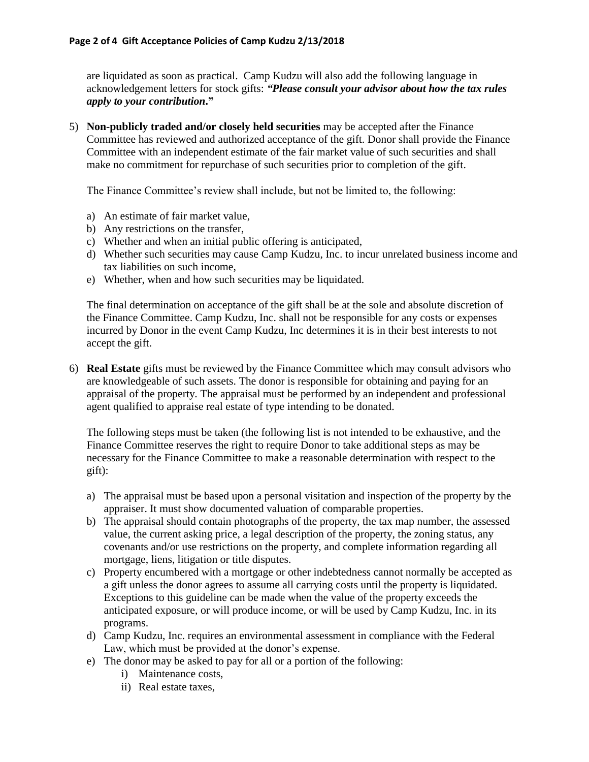are liquidated as soon as practical. Camp Kudzu will also add the following language in acknowledgement letters for stock gifts: *"Please consult your advisor about how the tax rules apply to your contribution***."**

5) **Non-publicly traded and/or closely held securities** may be accepted after the Finance Committee has reviewed and authorized acceptance of the gift. Donor shall provide the Finance Committee with an independent estimate of the fair market value of such securities and shall make no commitment for repurchase of such securities prior to completion of the gift.

The Finance Committee's review shall include, but not be limited to, the following:

- a) An estimate of fair market value,
- b) Any restrictions on the transfer,
- c) Whether and when an initial public offering is anticipated,
- d) Whether such securities may cause Camp Kudzu, Inc. to incur unrelated business income and tax liabilities on such income,
- e) Whether, when and how such securities may be liquidated.

The final determination on acceptance of the gift shall be at the sole and absolute discretion of the Finance Committee. Camp Kudzu, Inc. shall not be responsible for any costs or expenses incurred by Donor in the event Camp Kudzu, Inc determines it is in their best interests to not accept the gift.

6) **Real Estate** gifts must be reviewed by the Finance Committee which may consult advisors who are knowledgeable of such assets. The donor is responsible for obtaining and paying for an appraisal of the property. The appraisal must be performed by an independent and professional agent qualified to appraise real estate of type intending to be donated.

The following steps must be taken (the following list is not intended to be exhaustive, and the Finance Committee reserves the right to require Donor to take additional steps as may be necessary for the Finance Committee to make a reasonable determination with respect to the gift):

- a) The appraisal must be based upon a personal visitation and inspection of the property by the appraiser. It must show documented valuation of comparable properties.
- b) The appraisal should contain photographs of the property, the tax map number, the assessed value, the current asking price, a legal description of the property, the zoning status, any covenants and/or use restrictions on the property, and complete information regarding all mortgage, liens, litigation or title disputes.
- c) Property encumbered with a mortgage or other indebtedness cannot normally be accepted as a gift unless the donor agrees to assume all carrying costs until the property is liquidated. Exceptions to this guideline can be made when the value of the property exceeds the anticipated exposure, or will produce income, or will be used by Camp Kudzu, Inc. in its programs.
- d) Camp Kudzu, Inc. requires an environmental assessment in compliance with the Federal Law, which must be provided at the donor's expense.
- e) The donor may be asked to pay for all or a portion of the following:
	- i) Maintenance costs,
	- ii) Real estate taxes,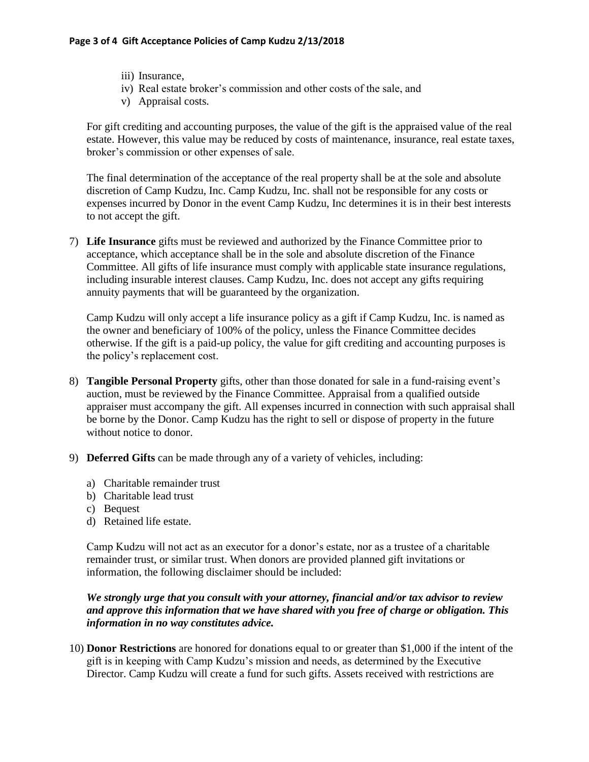- iii) Insurance,
- iv) Real estate broker's commission and other costs of the sale, and
- v) Appraisal costs.

For gift crediting and accounting purposes, the value of the gift is the appraised value of the real estate. However, this value may be reduced by costs of maintenance, insurance, real estate taxes, broker's commission or other expenses of sale.

The final determination of the acceptance of the real property shall be at the sole and absolute discretion of Camp Kudzu, Inc. Camp Kudzu, Inc. shall not be responsible for any costs or expenses incurred by Donor in the event Camp Kudzu, Inc determines it is in their best interests to not accept the gift.

7) **Life Insurance** gifts must be reviewed and authorized by the Finance Committee prior to acceptance, which acceptance shall be in the sole and absolute discretion of the Finance Committee. All gifts of life insurance must comply with applicable state insurance regulations, including insurable interest clauses. Camp Kudzu, Inc. does not accept any gifts requiring annuity payments that will be guaranteed by the organization.

Camp Kudzu will only accept a life insurance policy as a gift if Camp Kudzu, Inc. is named as the owner and beneficiary of 100% of the policy, unless the Finance Committee decides otherwise. If the gift is a paid-up policy, the value for gift crediting and accounting purposes is the policy's replacement cost.

- 8) **Tangible Personal Property** gifts, other than those donated for sale in a fund-raising event's auction, must be reviewed by the Finance Committee. Appraisal from a qualified outside appraiser must accompany the gift. All expenses incurred in connection with such appraisal shall be borne by the Donor. Camp Kudzu has the right to sell or dispose of property in the future without notice to donor.
- 9) **Deferred Gifts** can be made through any of a variety of vehicles, including:
	- a) Charitable remainder trust
	- b) Charitable lead trust
	- c) Bequest
	- d) Retained life estate.

Camp Kudzu will not act as an executor for a donor's estate, nor as a trustee of a charitable remainder trust, or similar trust. When donors are provided planned gift invitations or information, the following disclaimer should be included:

*We strongly urge that you consult with your attorney, financial and/or tax advisor to review and approve this information that we have shared with you free of charge or obligation. This information in no way constitutes advice.* 

10) **Donor Restrictions** are honored for donations equal to or greater than \$1,000 if the intent of the gift is in keeping with Camp Kudzu's mission and needs, as determined by the Executive Director. Camp Kudzu will create a fund for such gifts. Assets received with restrictions are